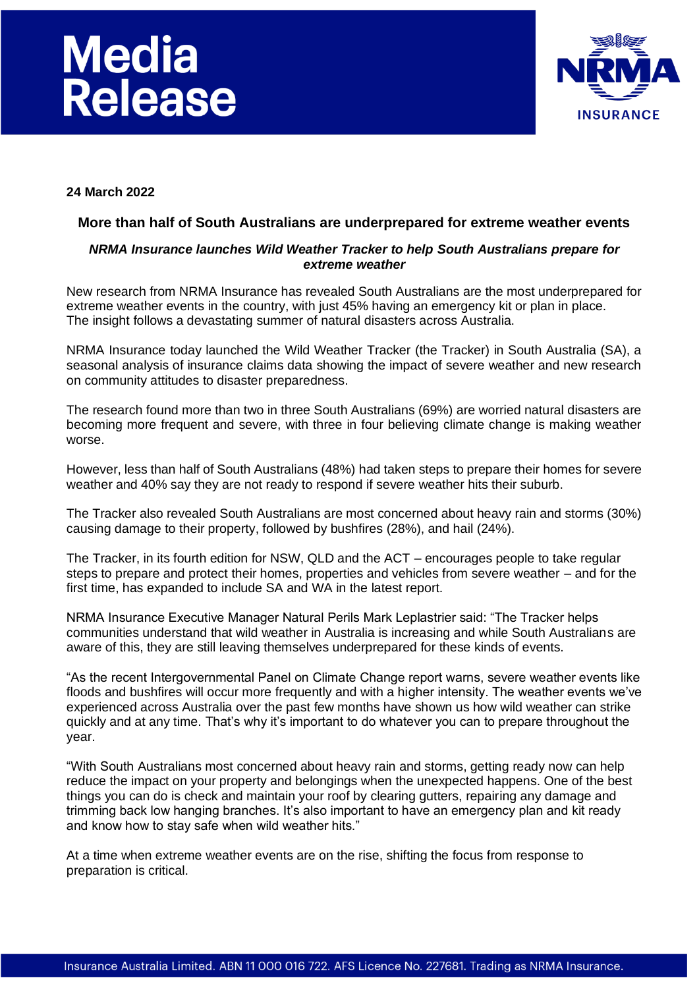# **Media<br>Release**



## **24 March 2022**

#### **More than half of South Australians are underprepared for extreme weather events**

## *NRMA Insurance launches Wild Weather Tracker to help South Australians prepare for extreme weather*

New research from NRMA Insurance has revealed South Australians are the most underprepared for extreme weather events in the country, with just 45% having an emergency kit or plan in place. The insight follows a devastating summer of natural disasters across Australia.

NRMA Insurance today launched the Wild Weather Tracker (the Tracker) in South Australia (SA), a seasonal analysis of insurance claims data showing the impact of severe weather and new research on community attitudes to disaster preparedness.

The research found more than two in three South Australians (69%) are worried natural disasters are becoming more frequent and severe, with three in four believing climate change is making weather worse.

However, less than half of South Australians (48%) had taken steps to prepare their homes for severe weather and 40% say they are not ready to respond if severe weather hits their suburb.

The Tracker also revealed South Australians are most concerned about heavy rain and storms (30%) causing damage to their property, followed by bushfires (28%), and hail (24%).

The Tracker, in its fourth edition for NSW, QLD and the ACT – encourages people to take regular steps to prepare and protect their homes, properties and vehicles from severe weather – and for the first time, has expanded to include SA and WA in the latest report.

NRMA Insurance Executive Manager Natural Perils Mark Leplastrier said: "The Tracker helps communities understand that wild weather in Australia is increasing and while South Australians are aware of this, they are still leaving themselves underprepared for these kinds of events.

"As the recent Intergovernmental Panel on Climate Change report warns, severe weather events like floods and bushfires will occur more frequently and with a higher intensity. The weather events we've experienced across Australia over the past few months have shown us how wild weather can strike quickly and at any time. That's why it's important to do whatever you can to prepare throughout the year.

"With South Australians most concerned about heavy rain and storms, getting ready now can help reduce the impact on your property and belongings when the unexpected happens. One of the best things you can do is check and maintain your roof by clearing gutters, repairing any damage and trimming back low hanging branches. It's also important to have an emergency plan and kit ready and know how to stay safe when wild weather hits."

At a time when extreme weather events are on the rise, shifting the focus from response to preparation is critical.